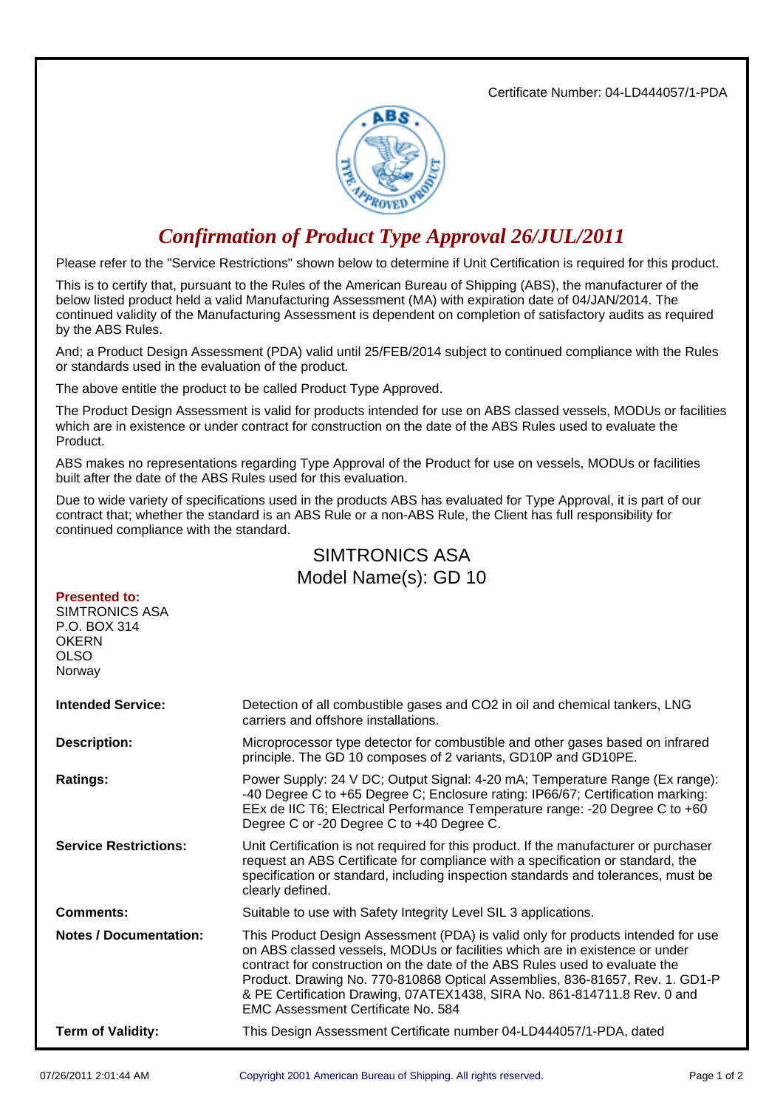Certificate Number: 04-LD444057/1-PDA



## *Confirmation of Product Type Approval 26/JUL/2011*

Please refer to the "Service Restrictions" shown below to determine if Unit Certification is required for this product.

This is to certify that, pursuant to the Rules of the American Bureau of Shipping (ABS), the manufacturer of the below listed product held a valid Manufacturing Assessment (MA) with expiration date of 04/JAN/2014. The continued validity of the Manufacturing Assessment is dependent on completion of satisfactory audits as required by the ABS Rules.

And; a Product Design Assessment (PDA) valid until 25/FEB/2014 subject to continued compliance with the Rules or standards used in the evaluation of the product.

The above entitle the product to be called Product Type Approved.

The Product Design Assessment is valid for products intended for use on ABS classed vessels, MODUs or facilities which are in existence or under contract for construction on the date of the ABS Rules used to evaluate the Product.

ABS makes no representations regarding Type Approval of the Product for use on vessels, MODUs or facilities built after the date of the ABS Rules used for this evaluation.

Due to wide variety of specifications used in the products ABS has evaluated for Type Approval, it is part of our contract that; whether the standard is an ABS Rule or a non-ABS Rule, the Client has full responsibility for continued compliance with the standard.

## SIMTRONICS ASA Model Name(s): GD 10

## **Presented to:** SIMTRONICS ASA P.O. BOX 314 **OKERN** OLSO

Norway

| <b>Intended Service:</b>      | Detection of all combustible gases and CO2 in oil and chemical tankers, LNG<br>carriers and offshore installations.                                                                                                                                                                                                                                                                                                                              |
|-------------------------------|--------------------------------------------------------------------------------------------------------------------------------------------------------------------------------------------------------------------------------------------------------------------------------------------------------------------------------------------------------------------------------------------------------------------------------------------------|
| <b>Description:</b>           | Microprocessor type detector for combustible and other gases based on infrared<br>principle. The GD 10 composes of 2 variants, GD10P and GD10PE.                                                                                                                                                                                                                                                                                                 |
| <b>Ratings:</b>               | Power Supply: 24 V DC; Output Signal: 4-20 mA; Temperature Range (Ex range):<br>-40 Degree C to +65 Degree C; Enclosure rating: IP66/67; Certification marking:<br>EEx de IIC T6; Electrical Performance Temperature range: -20 Degree C to +60<br>Degree C or -20 Degree C to +40 Degree C.                                                                                                                                                     |
| <b>Service Restrictions:</b>  | Unit Certification is not required for this product. If the manufacturer or purchaser<br>request an ABS Certificate for compliance with a specification or standard, the<br>specification or standard, including inspection standards and tolerances, must be<br>clearly defined.                                                                                                                                                                |
| <b>Comments:</b>              | Suitable to use with Safety Integrity Level SIL 3 applications.                                                                                                                                                                                                                                                                                                                                                                                  |
| <b>Notes / Documentation:</b> | This Product Design Assessment (PDA) is valid only for products intended for use<br>on ABS classed vessels, MODUs or facilities which are in existence or under<br>contract for construction on the date of the ABS Rules used to evaluate the<br>Product. Drawing No. 770-810868 Optical Assemblies, 836-81657, Rev. 1. GD1-P<br>& PE Certification Drawing, 07ATEX1438, SIRA No. 861-814711.8 Rev. 0 and<br>EMC Assessment Certificate No. 584 |
| <b>Term of Validity:</b>      | This Design Assessment Certificate number 04-LD444057/1-PDA, dated                                                                                                                                                                                                                                                                                                                                                                               |